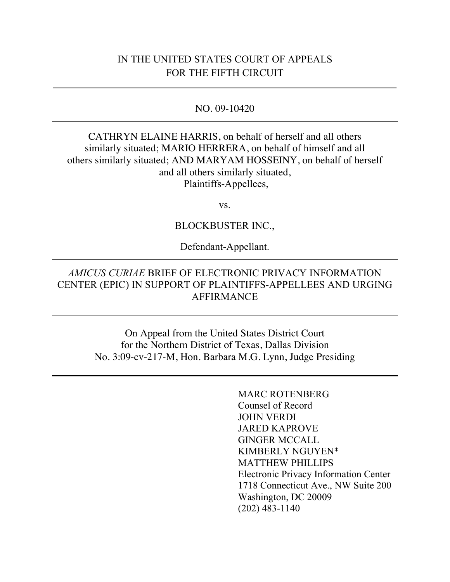## IN THE UNITED STATES COURT OF APPEALS FOR THE FIFTH CIRCUIT

#### NO. 09-10420

## CATHRYN ELAINE HARRIS, on behalf of herself and all others similarly situated; MARIO HERRERA, on behalf of himself and all others similarly situated; AND MARYAM HOSSEINY, on behalf of herself and all others similarly situated, Plaintiffs-Appellees,

vs.

#### BLOCKBUSTER INC.,

Defendant-Appellant.

## *AMICUS CURIAE* BRIEF OF ELECTRONIC PRIVACY INFORMATION CENTER (EPIC) IN SUPPORT OF PLAINTIFFS-APPELLEES AND URGING AFFIRMANCE

On Appeal from the United States District Court for the Northern District of Texas, Dallas Division No. 3:09-cv-217-M, Hon. Barbara M.G. Lynn, Judge Presiding

> MARC ROTENBERG Counsel of Record JOHN VERDI JARED KAPROVE GINGER MCCALL KIMBERLY NGUYEN\* MATTHEW PHILLIPS Electronic Privacy Information Center 1718 Connecticut Ave., NW Suite 200 Washington, DC 20009 (202) 483-1140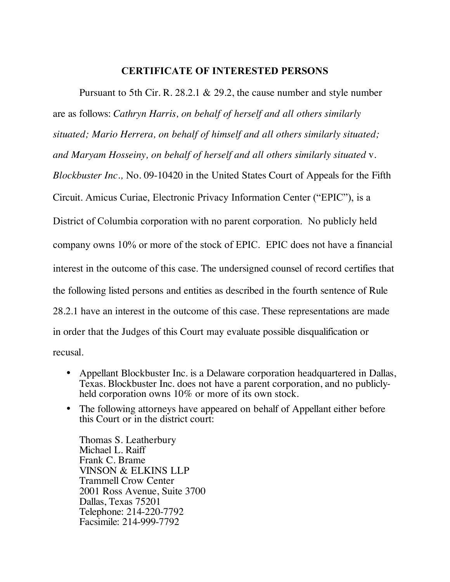#### **CERTIFICATE OF INTERESTED PERSONS**

Pursuant to 5th Cir. R. 28.2.1 & 29.2, the cause number and style number are as follows: *Cathryn Harris, on behalf of herself and all others similarly situated; Mario Herrera, on behalf of himself and all others similarly situated; and Maryam Hosseiny, on behalf of herself and all others similarly situated* v. *Blockbuster Inc.,* No. 09-10420 in the United States Court of Appeals for the Fifth Circuit. Amicus Curiae, Electronic Privacy Information Center ("EPIC"), is a District of Columbia corporation with no parent corporation. No publicly held company owns 10% or more of the stock of EPIC. EPIC does not have a financial interest in the outcome of this case. The undersigned counsel of record certifies that the following listed persons and entities as described in the fourth sentence of Rule 28.2.1 have an interest in the outcome of this case. These representations are made in order that the Judges of this Court may evaluate possible disqualification or recusal.

- Appellant Blockbuster Inc. is a Delaware corporation headquartered in Dallas, Texas. Blockbuster Inc. does not have a parent corporation, and no publiclyheld corporation owns 10% or more of its own stock.
- The following attorneys have appeared on behalf of Appellant either before this Court or in the district court:

Thomas S. Leatherbury Michael L. Raiff Frank C. Brame VINSON & ELKINS LLP Trammell Crow Center 2001 Ross Avenue, Suite 3700 Dallas, Texas 75201 Telephone: 214-220-7792 Facsimile: 214-999-7792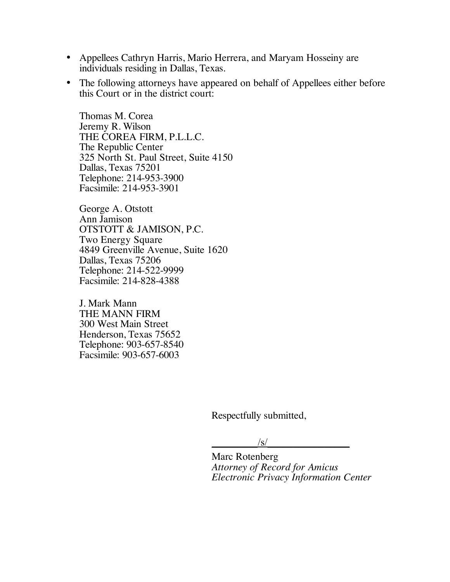- Appellees Cathryn Harris, Mario Herrera, and Maryam Hosseiny are individuals residing in Dallas, Texas.
- The following attorneys have appeared on behalf of Appellees either before this Court or in the district court:

Thomas M. Corea Jeremy R. Wilson THE COREA FIRM, P.L.L.C. The Republic Center 325 North St. Paul Street, Suite 4150 Dallas, Texas 75201 Telephone: 214-953-3900 Facsimile: 214-953-3901

George A. Otstott Ann Jamison OTSTOTT & JAMISON, P.C. Two Energy Square 4849 Greenville Avenue, Suite 1620 Dallas, Texas 75206 Telephone: 214-522-9999 Facsimile: 214-828-4388

J. Mark Mann THE MANN FIRM 300 West Main Street Henderson, Texas 75652 Telephone: 903-657-8540 Facsimile: 903-657-6003

Respectfully submitted,

 $/\mathrm{s}/$ 

Marc Rotenberg *Attorney of Record for Amicus Electronic Privacy Information Center*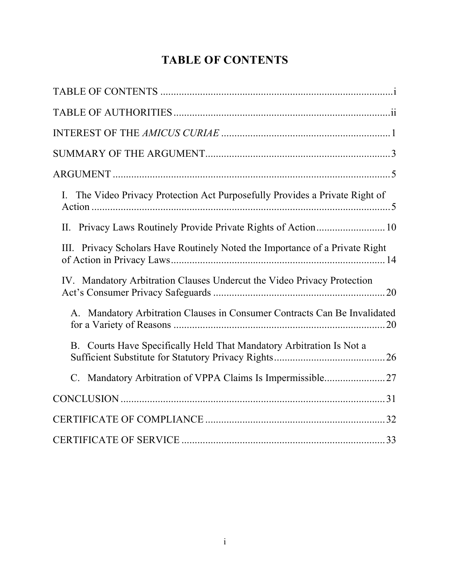# **TABLE OF CONTENTS**

| I. The Video Privacy Protection Act Purposefully Provides a Private Right of |
|------------------------------------------------------------------------------|
| II. Privacy Laws Routinely Provide Private Rights of Action 10               |
| III. Privacy Scholars Have Routinely Noted the Importance of a Private Right |
| IV. Mandatory Arbitration Clauses Undercut the Video Privacy Protection      |
| A. Mandatory Arbitration Clauses in Consumer Contracts Can Be Invalidated    |
| B. Courts Have Specifically Held That Mandatory Arbitration Is Not a         |
|                                                                              |
|                                                                              |
|                                                                              |
|                                                                              |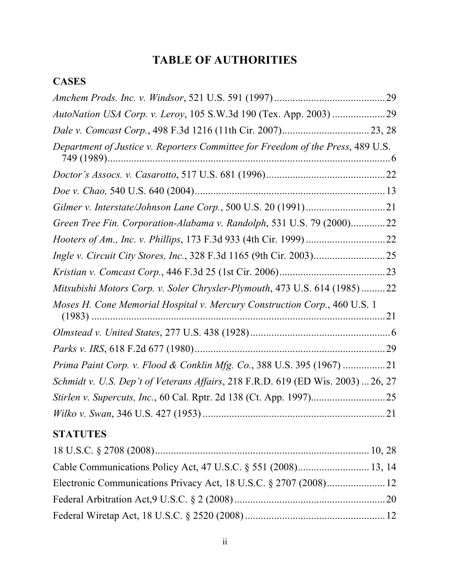# **TABLE OF AUTHORITIES**

## **CASES**

| Department of Justice v. Reporters Committee for Freedom of the Press, 489 U.S.  |  |
|----------------------------------------------------------------------------------|--|
|                                                                                  |  |
|                                                                                  |  |
|                                                                                  |  |
| Green Tree Fin. Corporation-Alabama v. Randolph, 531 U.S. 79 (2000)22            |  |
|                                                                                  |  |
|                                                                                  |  |
|                                                                                  |  |
| Mitsubishi Motors Corp. v. Soler Chrysler-Plymouth, 473 U.S. 614 (1985)22        |  |
| Moses H. Cone Memorial Hospital v. Mercury Construction Corp., 460 U.S. 1        |  |
|                                                                                  |  |
|                                                                                  |  |
| Prima Paint Corp. v. Flood & Conklin Mfg. Co., 388 U.S. 395 (1967) 21            |  |
| Schmidt v. U.S. Dep't of Veterans Affairs, 218 F.R.D. 619 (ED Wis. 2003)  26, 27 |  |
|                                                                                  |  |
|                                                                                  |  |
| <b>STATUTES</b>                                                                  |  |
|                                                                                  |  |
| Cable Communications Policy Act, 47 U.S.C. § 551 (2008) 13, 14                   |  |
| Electronic Communications Privacy Act, 18 U.S.C. § 2707 (2008) 12                |  |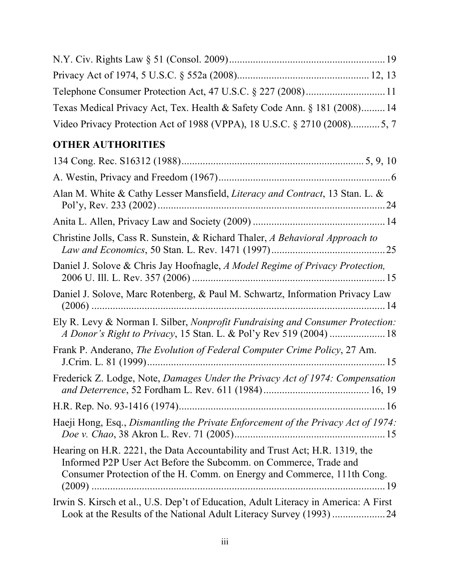| Texas Medical Privacy Act, Tex. Health & Safety Code Ann. § 181 (2008) 14 |  |
|---------------------------------------------------------------------------|--|
| Video Privacy Protection Act of 1988 (VPPA), 18 U.S.C. § 2710 (2008)5, 7  |  |

# **OTHER AUTHORITIES**

| Alan M. White & Cathy Lesser Mansfield, Literacy and Contract, 13 Stan. L. &                                                                                                                                               |  |
|----------------------------------------------------------------------------------------------------------------------------------------------------------------------------------------------------------------------------|--|
|                                                                                                                                                                                                                            |  |
| Christine Jolls, Cass R. Sunstein, & Richard Thaler, A Behavioral Approach to                                                                                                                                              |  |
| Daniel J. Solove & Chris Jay Hoofnagle, A Model Regime of Privacy Protection,                                                                                                                                              |  |
| Daniel J. Solove, Marc Rotenberg, & Paul M. Schwartz, Information Privacy Law                                                                                                                                              |  |
| Ely R. Levy & Norman I. Silber, Nonprofit Fundraising and Consumer Protection:<br>A Donor's Right to Privacy, 15 Stan. L. & Pol'y Rev 519 (2004)  18                                                                       |  |
| Frank P. Anderano, The Evolution of Federal Computer Crime Policy, 27 Am.                                                                                                                                                  |  |
| Frederick Z. Lodge, Note, Damages Under the Privacy Act of 1974: Compensation                                                                                                                                              |  |
|                                                                                                                                                                                                                            |  |
| Haeji Hong, Esq., Dismantling the Private Enforcement of the Privacy Act of 1974:                                                                                                                                          |  |
| Hearing on H.R. 2221, the Data Accountability and Trust Act; H.R. 1319, the<br>Informed P2P User Act Before the Subcomm. on Commerce, Trade and<br>Consumer Protection of the H. Comm. on Energy and Commerce, 111th Cong. |  |
| Irwin S. Kirsch et al., U.S. Dep't of Education, Adult Literacy in America: A First<br>Look at the Results of the National Adult Literacy Survey (1993) 24                                                                 |  |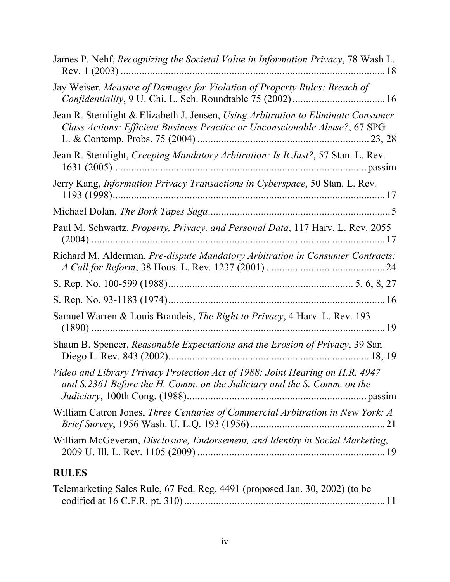| James P. Nehf, Recognizing the Societal Value in Information Privacy, 78 Wash L.                                                                                 |
|------------------------------------------------------------------------------------------------------------------------------------------------------------------|
| Jay Weiser, Measure of Damages for Violation of Property Rules: Breach of                                                                                        |
| Jean R. Sternlight & Elizabeth J. Jensen, Using Arbitration to Eliminate Consumer<br>Class Actions: Efficient Business Practice or Unconscionable Abuse?, 67 SPG |
| Jean R. Sternlight, Creeping Mandatory Arbitration: Is It Just?, 57 Stan. L. Rev.                                                                                |
| Jerry Kang, <i>Information Privacy Transactions in Cyberspace</i> , 50 Stan. L. Rev.                                                                             |
|                                                                                                                                                                  |
| Paul M. Schwartz, Property, Privacy, and Personal Data, 117 Harv. L. Rev. 2055                                                                                   |
| Richard M. Alderman, Pre-dispute Mandatory Arbitration in Consumer Contracts:                                                                                    |
|                                                                                                                                                                  |
|                                                                                                                                                                  |
| Samuel Warren & Louis Brandeis, <i>The Right to Privacy</i> , 4 Harv. L. Rev. 193                                                                                |
| Shaun B. Spencer, Reasonable Expectations and the Erosion of Privacy, 39 San                                                                                     |
| Video and Library Privacy Protection Act of 1988: Joint Hearing on H.R. 4947<br>and S.2361 Before the H. Comm. on the Judiciary and the S. Comm. on the          |
| William Catron Jones, Three Centuries of Commercial Arbitration in New York: A                                                                                   |
| William McGeveran, Disclosure, Endorsement, and Identity in Social Marketing,                                                                                    |
| <b>RULES</b>                                                                                                                                                     |

Telemarketing Sales Rule, 67 Fed. Reg. 4491 (proposed Jan. 30, 2002) (to be codified at 16 C.F.R. pt. 310)............................................................................11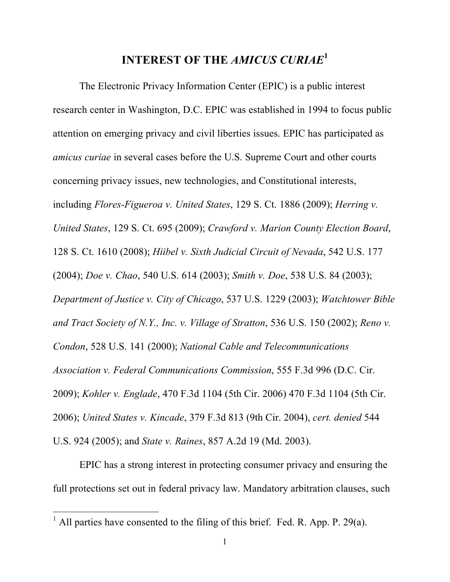## **INTEREST OF THE** *AMICUS CURIAE***<sup>1</sup>**

The Electronic Privacy Information Center (EPIC) is a public interest research center in Washington, D.C. EPIC was established in 1994 to focus public attention on emerging privacy and civil liberties issues. EPIC has participated as *amicus curiae* in several cases before the U.S. Supreme Court and other courts concerning privacy issues, new technologies, and Constitutional interests, including *Flores-Figueroa v. United States*, 129 S. Ct. 1886 (2009); *Herring v. United States*, 129 S. Ct. 695 (2009); *Crawford v. Marion County Election Board*, 128 S. Ct. 1610 (2008); *Hiibel v. Sixth Judicial Circuit of Nevada*, 542 U.S. 177 (2004); *Doe v. Chao*, 540 U.S. 614 (2003); *Smith v. Doe*, 538 U.S. 84 (2003); *Department of Justice v. City of Chicago*, 537 U.S. 1229 (2003); *Watchtower Bible and Tract Society of N.Y., Inc. v. Village of Stratton*, 536 U.S. 150 (2002); *Reno v. Condon*, 528 U.S. 141 (2000); *National Cable and Telecommunications Association v. Federal Communications Commission*, 555 F.3d 996 (D.C. Cir. 2009); *Kohler v. Englade*, 470 F.3d 1104 (5th Cir. 2006) 470 F.3d 1104 (5th Cir. 2006); *United States v. Kincade*, 379 F.3d 813 (9th Cir. 2004), *cert. denied* 544 U.S. 924 (2005); and *State v. Raines*, 857 A.2d 19 (Md. 2003).

EPIC has a strong interest in protecting consumer privacy and ensuring the full protections set out in federal privacy law. Mandatory arbitration clauses, such

 $\frac{1}{1}$  All parties have consented to the filing of this brief. Fed. R. App. P. 29(a).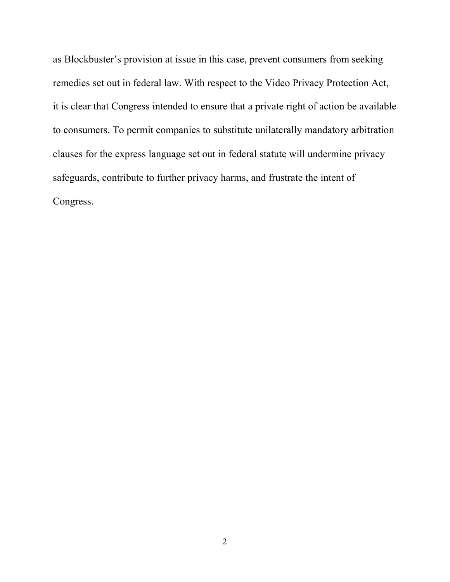as Blockbuster's provision at issue in this case, prevent consumers from seeking remedies set out in federal law. With respect to the Video Privacy Protection Act, it is clear that Congress intended to ensure that a private right of action be available to consumers. To permit companies to substitute unilaterally mandatory arbitration clauses for the express language set out in federal statute will undermine privacy safeguards, contribute to further privacy harms, and frustrate the intent of Congress.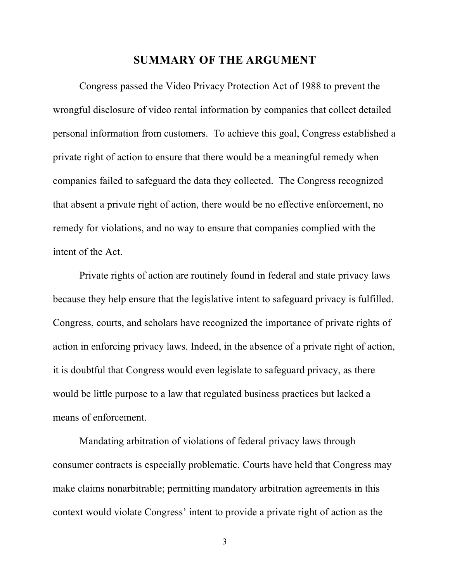## **SUMMARY OF THE ARGUMENT**

Congress passed the Video Privacy Protection Act of 1988 to prevent the wrongful disclosure of video rental information by companies that collect detailed personal information from customers. To achieve this goal, Congress established a private right of action to ensure that there would be a meaningful remedy when companies failed to safeguard the data they collected. The Congress recognized that absent a private right of action, there would be no effective enforcement, no remedy for violations, and no way to ensure that companies complied with the intent of the Act.

Private rights of action are routinely found in federal and state privacy laws because they help ensure that the legislative intent to safeguard privacy is fulfilled. Congress, courts, and scholars have recognized the importance of private rights of action in enforcing privacy laws. Indeed, in the absence of a private right of action, it is doubtful that Congress would even legislate to safeguard privacy, as there would be little purpose to a law that regulated business practices but lacked a means of enforcement.

Mandating arbitration of violations of federal privacy laws through consumer contracts is especially problematic. Courts have held that Congress may make claims nonarbitrable; permitting mandatory arbitration agreements in this context would violate Congress' intent to provide a private right of action as the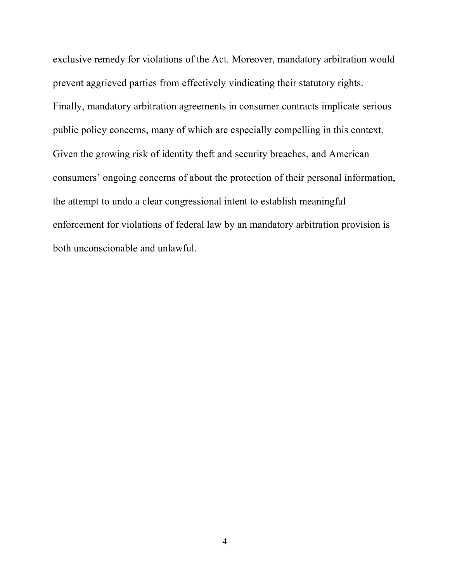exclusive remedy for violations of the Act. Moreover, mandatory arbitration would prevent aggrieved parties from effectively vindicating their statutory rights. Finally, mandatory arbitration agreements in consumer contracts implicate serious public policy concerns, many of which are especially compelling in this context. Given the growing risk of identity theft and security breaches, and American consumers' ongoing concerns of about the protection of their personal information, the attempt to undo a clear congressional intent to establish meaningful enforcement for violations of federal law by an mandatory arbitration provision is both unconscionable and unlawful.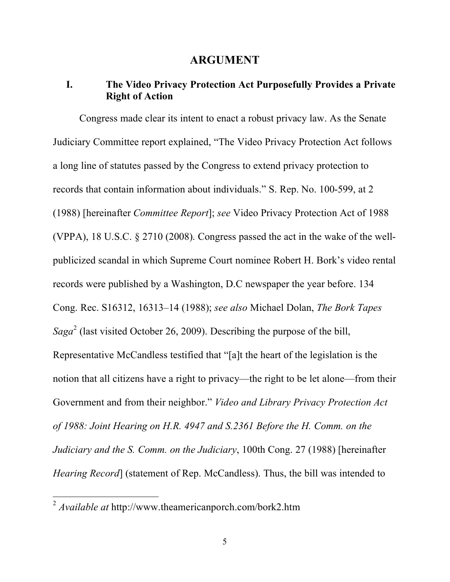#### **ARGUMENT**

## **I. The Video Privacy Protection Act Purposefully Provides a Private Right of Action**

Congress made clear its intent to enact a robust privacy law. As the Senate Judiciary Committee report explained, "The Video Privacy Protection Act follows a long line of statutes passed by the Congress to extend privacy protection to records that contain information about individuals." S. Rep. No. 100-599, at 2 (1988) [hereinafter *Committee Report*]; *see* Video Privacy Protection Act of 1988 (VPPA), 18 U.S.C. § 2710 (2008). Congress passed the act in the wake of the wellpublicized scandal in which Supreme Court nominee Robert H. Bork's video rental records were published by a Washington, D.C newspaper the year before. 134 Cong. Rec. S16312, 16313–14 (1988); *see also* Michael Dolan, *The Bork Tapes Saga*<sup>2</sup> (last visited October 26, 2009). Describing the purpose of the bill, Representative McCandless testified that "[a]t the heart of the legislation is the notion that all citizens have a right to privacy—the right to be let alone—from their Government and from their neighbor." *Video and Library Privacy Protection Act of 1988: Joint Hearing on H.R. 4947 and S.2361 Before the H. Comm. on the Judiciary and the S. Comm. on the Judiciary*, 100th Cong. 27 (1988) [hereinafter *Hearing Record* [statement of Rep. McCandless]. Thus, the bill was intended to

 <sup>2</sup> *Available at* http://www.theamericanporch.com/bork2.htm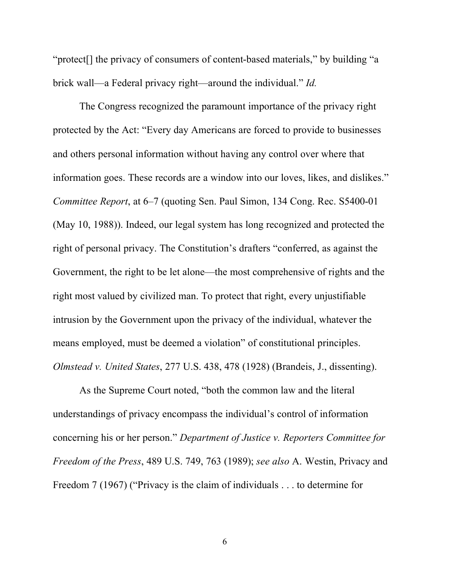"protect[] the privacy of consumers of content-based materials," by building "a brick wall—a Federal privacy right—around the individual." *Id.*

The Congress recognized the paramount importance of the privacy right protected by the Act: "Every day Americans are forced to provide to businesses and others personal information without having any control over where that information goes. These records are a window into our loves, likes, and dislikes." *Committee Report*, at 6–7 (quoting Sen. Paul Simon, 134 Cong. Rec. S5400-01 (May 10, 1988)). Indeed, our legal system has long recognized and protected the right of personal privacy. The Constitution's drafters "conferred, as against the Government, the right to be let alone—the most comprehensive of rights and the right most valued by civilized man. To protect that right, every unjustifiable intrusion by the Government upon the privacy of the individual, whatever the means employed, must be deemed a violation" of constitutional principles. *Olmstead v. United States*, 277 U.S. 438, 478 (1928) (Brandeis, J., dissenting).

As the Supreme Court noted, "both the common law and the literal understandings of privacy encompass the individual's control of information concerning his or her person." *Department of Justice v. Reporters Committee for Freedom of the Press*, 489 U.S. 749, 763 (1989); *see also* A. Westin, Privacy and Freedom 7 (1967) ("Privacy is the claim of individuals . . . to determine for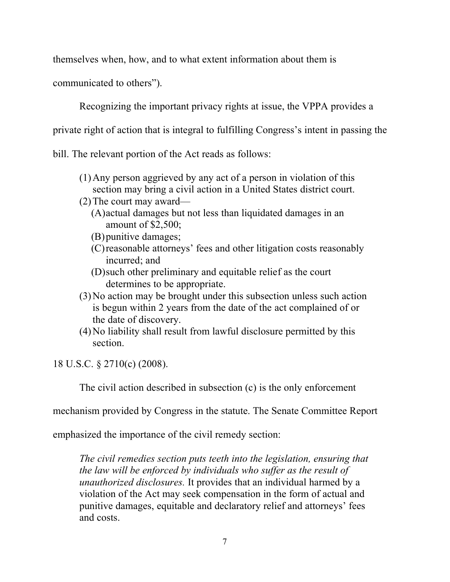themselves when, how, and to what extent information about them is

communicated to others").

Recognizing the important privacy rights at issue, the VPPA provides a

private right of action that is integral to fulfilling Congress's intent in passing the

bill. The relevant portion of the Act reads as follows:

- (1)Any person aggrieved by any act of a person in violation of this section may bring a civil action in a United States district court.
- (2)The court may award—
	- (A)actual damages but not less than liquidated damages in an amount of \$2,500;
	- (B)punitive damages;
	- (C)reasonable attorneys' fees and other litigation costs reasonably incurred; and
	- (D)such other preliminary and equitable relief as the court determines to be appropriate.
- (3)No action may be brought under this subsection unless such action is begun within 2 years from the date of the act complained of or the date of discovery.
- (4)No liability shall result from lawful disclosure permitted by this section.

18 U.S.C. § 2710(c) (2008).

The civil action described in subsection (c) is the only enforcement

mechanism provided by Congress in the statute. The Senate Committee Report

emphasized the importance of the civil remedy section:

*The civil remedies section puts teeth into the legislation, ensuring that the law will be enforced by individuals who suffer as the result of unauthorized disclosures.* It provides that an individual harmed by a violation of the Act may seek compensation in the form of actual and punitive damages, equitable and declaratory relief and attorneys' fees and costs.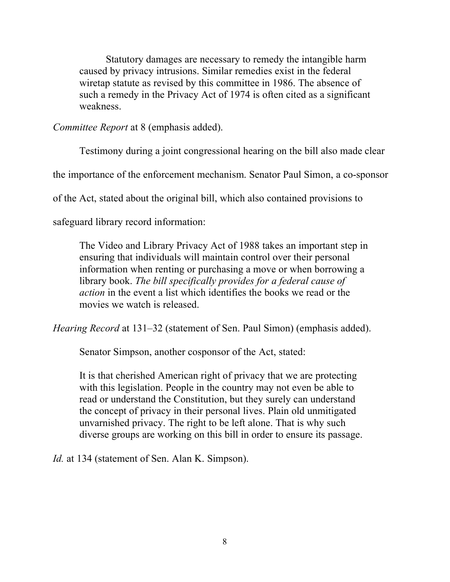Statutory damages are necessary to remedy the intangible harm caused by privacy intrusions. Similar remedies exist in the federal wiretap statute as revised by this committee in 1986. The absence of such a remedy in the Privacy Act of 1974 is often cited as a significant weakness.

*Committee Report* at 8 (emphasis added).

Testimony during a joint congressional hearing on the bill also made clear

the importance of the enforcement mechanism. Senator Paul Simon, a co-sponsor

of the Act, stated about the original bill, which also contained provisions to

safeguard library record information:

The Video and Library Privacy Act of 1988 takes an important step in ensuring that individuals will maintain control over their personal information when renting or purchasing a move or when borrowing a library book. *The bill specifically provides for a federal cause of action* in the event a list which identifies the books we read or the movies we watch is released.

*Hearing Record* at 131–32 (statement of Sen. Paul Simon) (emphasis added).

Senator Simpson, another cosponsor of the Act, stated:

It is that cherished American right of privacy that we are protecting with this legislation. People in the country may not even be able to read or understand the Constitution, but they surely can understand the concept of privacy in their personal lives. Plain old unmitigated unvarnished privacy. The right to be left alone. That is why such diverse groups are working on this bill in order to ensure its passage.

*Id.* at 134 (statement of Sen. Alan K. Simpson).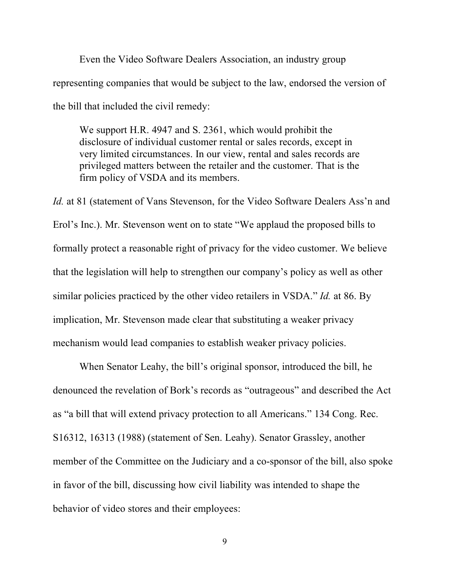Even the Video Software Dealers Association, an industry group representing companies that would be subject to the law, endorsed the version of the bill that included the civil remedy:

We support H.R. 4947 and S. 2361, which would prohibit the disclosure of individual customer rental or sales records, except in very limited circumstances. In our view, rental and sales records are privileged matters between the retailer and the customer. That is the firm policy of VSDA and its members.

*Id.* at 81 (statement of Vans Stevenson, for the Video Software Dealers Ass'n and Erol's Inc.). Mr. Stevenson went on to state "We applaud the proposed bills to formally protect a reasonable right of privacy for the video customer. We believe that the legislation will help to strengthen our company's policy as well as other similar policies practiced by the other video retailers in VSDA." *Id.* at 86. By implication, Mr. Stevenson made clear that substituting a weaker privacy mechanism would lead companies to establish weaker privacy policies.

When Senator Leahy, the bill's original sponsor, introduced the bill, he denounced the revelation of Bork's records as "outrageous" and described the Act as "a bill that will extend privacy protection to all Americans." 134 Cong. Rec. S16312, 16313 (1988) (statement of Sen. Leahy). Senator Grassley, another member of the Committee on the Judiciary and a co-sponsor of the bill, also spoke in favor of the bill, discussing how civil liability was intended to shape the behavior of video stores and their employees: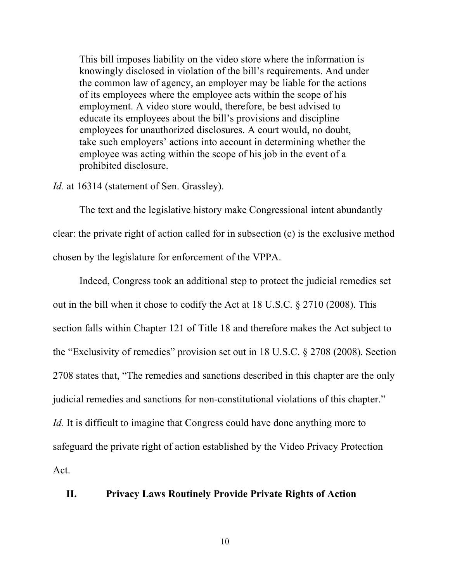This bill imposes liability on the video store where the information is knowingly disclosed in violation of the bill's requirements. And under the common law of agency, an employer may be liable for the actions of its employees where the employee acts within the scope of his employment. A video store would, therefore, be best advised to educate its employees about the bill's provisions and discipline employees for unauthorized disclosures. A court would, no doubt, take such employers' actions into account in determining whether the employee was acting within the scope of his job in the event of a prohibited disclosure.

*Id.* at 16314 (statement of Sen. Grassley).

The text and the legislative history make Congressional intent abundantly clear: the private right of action called for in subsection (c) is the exclusive method chosen by the legislature for enforcement of the VPPA.

Indeed, Congress took an additional step to protect the judicial remedies set out in the bill when it chose to codify the Act at 18 U.S.C. § 2710 (2008). This section falls within Chapter 121 of Title 18 and therefore makes the Act subject to the "Exclusivity of remedies" provision set out in 18 U.S.C. § 2708 (2008). Section 2708 states that, "The remedies and sanctions described in this chapter are the only judicial remedies and sanctions for non-constitutional violations of this chapter." *Id.* It is difficult to imagine that Congress could have done anything more to safeguard the private right of action established by the Video Privacy Protection Act.

### **II. Privacy Laws Routinely Provide Private Rights of Action**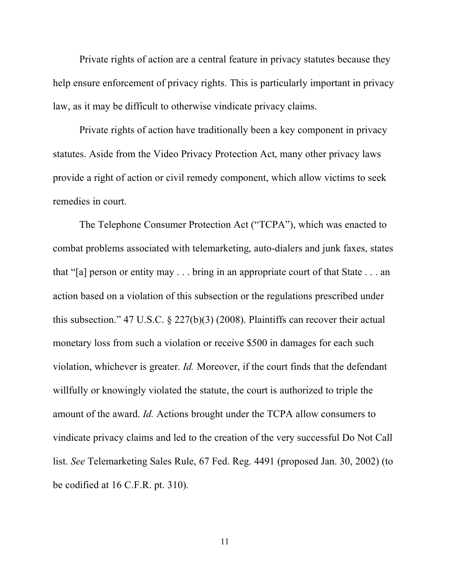Private rights of action are a central feature in privacy statutes because they help ensure enforcement of privacy rights. This is particularly important in privacy law, as it may be difficult to otherwise vindicate privacy claims.

Private rights of action have traditionally been a key component in privacy statutes. Aside from the Video Privacy Protection Act, many other privacy laws provide a right of action or civil remedy component, which allow victims to seek remedies in court.

The Telephone Consumer Protection Act ("TCPA"), which was enacted to combat problems associated with telemarketing, auto-dialers and junk faxes, states that "[a] person or entity may . . . bring in an appropriate court of that State . . . an action based on a violation of this subsection or the regulations prescribed under this subsection." 47 U.S.C. § 227(b)(3) (2008). Plaintiffs can recover their actual monetary loss from such a violation or receive \$500 in damages for each such violation, whichever is greater. *Id.* Moreover, if the court finds that the defendant willfully or knowingly violated the statute, the court is authorized to triple the amount of the award. *Id.* Actions brought under the TCPA allow consumers to vindicate privacy claims and led to the creation of the very successful Do Not Call list. *See* Telemarketing Sales Rule, 67 Fed. Reg. 4491 (proposed Jan. 30, 2002) (to be codified at 16 C.F.R. pt. 310).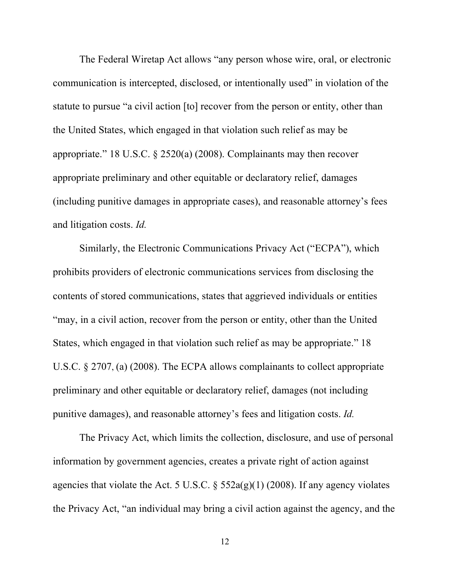The Federal Wiretap Act allows "any person whose wire, oral, or electronic communication is intercepted, disclosed, or intentionally used" in violation of the statute to pursue "a civil action [to] recover from the person or entity, other than the United States, which engaged in that violation such relief as may be appropriate." 18 U.S.C. § 2520(a) (2008). Complainants may then recover appropriate preliminary and other equitable or declaratory relief, damages (including punitive damages in appropriate cases), and reasonable attorney's fees and litigation costs. *Id.*

Similarly, the Electronic Communications Privacy Act ("ECPA"), which prohibits providers of electronic communications services from disclosing the contents of stored communications, states that aggrieved individuals or entities "may, in a civil action, recover from the person or entity, other than the United States, which engaged in that violation such relief as may be appropriate." 18 U.S.C. § 2707, (a) (2008). The ECPA allows complainants to collect appropriate preliminary and other equitable or declaratory relief, damages (not including punitive damages), and reasonable attorney's fees and litigation costs. *Id.*

The Privacy Act, which limits the collection, disclosure, and use of personal information by government agencies, creates a private right of action against agencies that violate the Act. 5 U.S.C.  $\frac{552a(g)(1)}{2008}$ . If any agency violates the Privacy Act, "an individual may bring a civil action against the agency, and the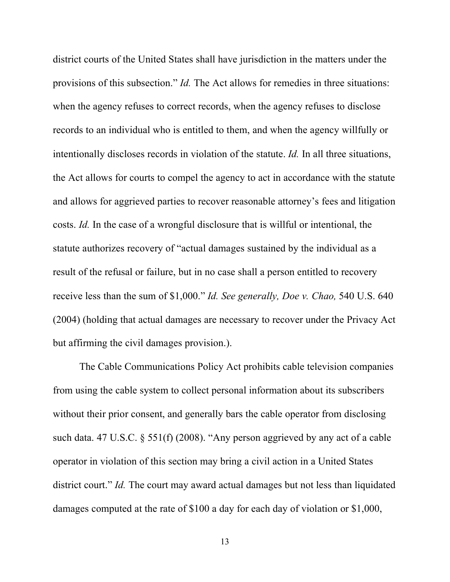district courts of the United States shall have jurisdiction in the matters under the provisions of this subsection." *Id.* The Act allows for remedies in three situations: when the agency refuses to correct records, when the agency refuses to disclose records to an individual who is entitled to them, and when the agency willfully or intentionally discloses records in violation of the statute. *Id.* In all three situations, the Act allows for courts to compel the agency to act in accordance with the statute and allows for aggrieved parties to recover reasonable attorney's fees and litigation costs. *Id.* In the case of a wrongful disclosure that is willful or intentional, the statute authorizes recovery of "actual damages sustained by the individual as a result of the refusal or failure, but in no case shall a person entitled to recovery receive less than the sum of \$1,000." *Id. See generally, Doe v. Chao,* 540 U.S. 640 (2004) (holding that actual damages are necessary to recover under the Privacy Act but affirming the civil damages provision.).

The Cable Communications Policy Act prohibits cable television companies from using the cable system to collect personal information about its subscribers without their prior consent, and generally bars the cable operator from disclosing such data. 47 U.S.C. § 551(f) (2008). "Any person aggrieved by any act of a cable operator in violation of this section may bring a civil action in a United States district court." *Id.* The court may award actual damages but not less than liquidated damages computed at the rate of \$100 a day for each day of violation or \$1,000,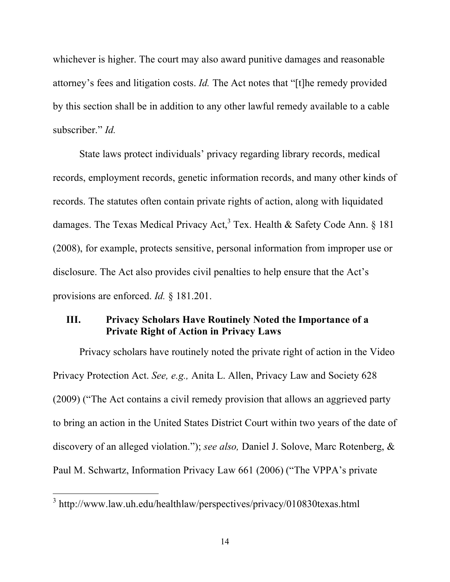whichever is higher. The court may also award punitive damages and reasonable attorney's fees and litigation costs. *Id.* The Act notes that "[t]he remedy provided by this section shall be in addition to any other lawful remedy available to a cable subscriber." *Id.*

State laws protect individuals' privacy regarding library records, medical records, employment records, genetic information records, and many other kinds of records. The statutes often contain private rights of action, along with liquidated damages. The Texas Medical Privacy Act,<sup>3</sup> Tex. Health & Safety Code Ann. § 181 (2008), for example, protects sensitive, personal information from improper use or disclosure. The Act also provides civil penalties to help ensure that the Act's provisions are enforced. *Id.* § 181.201.

#### **III. Privacy Scholars Have Routinely Noted the Importance of a Private Right of Action in Privacy Laws**

Privacy scholars have routinely noted the private right of action in the Video Privacy Protection Act. *See, e.g.,* Anita L. Allen, Privacy Law and Society 628 (2009) ("The Act contains a civil remedy provision that allows an aggrieved party to bring an action in the United States District Court within two years of the date of discovery of an alleged violation."); *see also,* Daniel J. Solove, Marc Rotenberg, & Paul M. Schwartz, Information Privacy Law 661 (2006) ("The VPPA's private

<sup>&</sup>lt;sup>3</sup> http://www.law.uh.edu/healthlaw/perspectives/privacy/010830texas.html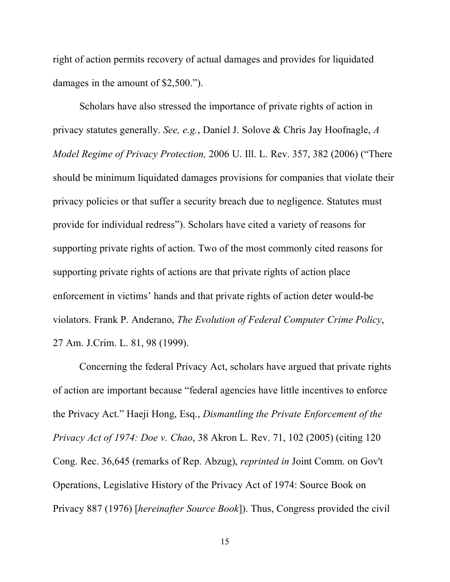right of action permits recovery of actual damages and provides for liquidated damages in the amount of \$2,500.").

Scholars have also stressed the importance of private rights of action in privacy statutes generally. *See, e.g.*, Daniel J. Solove & Chris Jay Hoofnagle, *A Model Regime of Privacy Protection,* 2006 U. Ill. L. Rev. 357, 382 (2006) ("There should be minimum liquidated damages provisions for companies that violate their privacy policies or that suffer a security breach due to negligence. Statutes must provide for individual redress"). Scholars have cited a variety of reasons for supporting private rights of action. Two of the most commonly cited reasons for supporting private rights of actions are that private rights of action place enforcement in victims' hands and that private rights of action deter would-be violators. Frank P. Anderano, *The Evolution of Federal Computer Crime Policy*, 27 Am. J.Crim. L. 81, 98 (1999).

Concerning the federal Privacy Act, scholars have argued that private rights of action are important because "federal agencies have little incentives to enforce the Privacy Act." Haeji Hong, Esq., *Dismantling the Private Enforcement of the Privacy Act of 1974: Doe v. Chao*, 38 Akron L. Rev. 71, 102 (2005) (citing 120 Cong. Rec. 36,645 (remarks of Rep. Abzug), *reprinted in* Joint Comm. on Gov't Operations, Legislative History of the Privacy Act of 1974: Source Book on Privacy 887 (1976) [*hereinafter Source Book*]). Thus, Congress provided the civil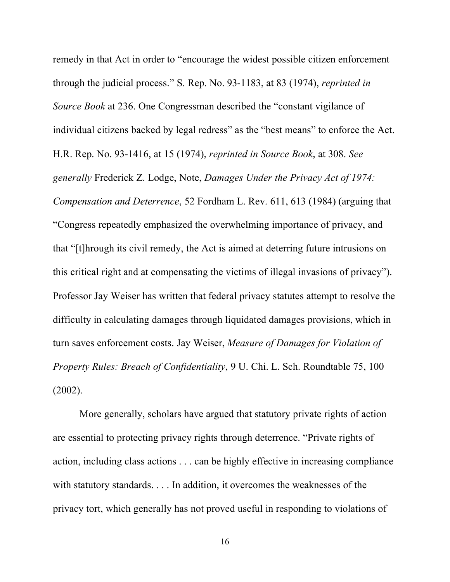remedy in that Act in order to "encourage the widest possible citizen enforcement through the judicial process." S. Rep. No. 93-1183, at 83 (1974), *reprinted in Source Book* at 236. One Congressman described the "constant vigilance of individual citizens backed by legal redress" as the "best means" to enforce the Act. H.R. Rep. No. 93-1416, at 15 (1974), *reprinted in Source Book*, at 308. *See generally* Frederick Z. Lodge, Note, *Damages Under the Privacy Act of 1974: Compensation and Deterrence*, 52 Fordham L. Rev. 611, 613 (1984) (arguing that "Congress repeatedly emphasized the overwhelming importance of privacy, and that "[t]hrough its civil remedy, the Act is aimed at deterring future intrusions on this critical right and at compensating the victims of illegal invasions of privacy"). Professor Jay Weiser has written that federal privacy statutes attempt to resolve the difficulty in calculating damages through liquidated damages provisions, which in turn saves enforcement costs. Jay Weiser, *Measure of Damages for Violation of Property Rules: Breach of Confidentiality*, 9 U. Chi. L. Sch. Roundtable 75, 100 (2002).

More generally, scholars have argued that statutory private rights of action are essential to protecting privacy rights through deterrence. "Private rights of action, including class actions . . . can be highly effective in increasing compliance with statutory standards. . . . In addition, it overcomes the weaknesses of the privacy tort, which generally has not proved useful in responding to violations of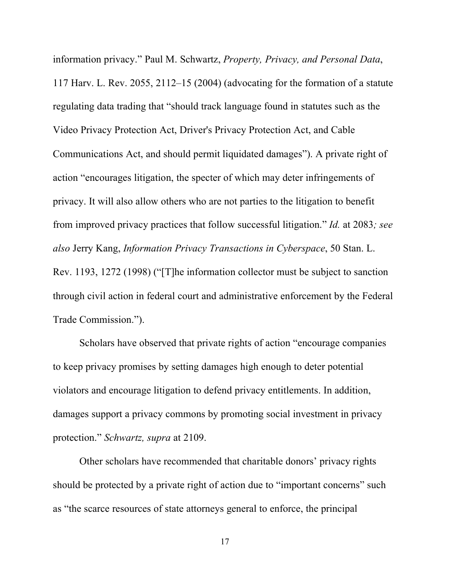information privacy." Paul M. Schwartz, *Property, Privacy, and Personal Data*, 117 Harv. L. Rev. 2055, 2112–15 (2004) (advocating for the formation of a statute regulating data trading that "should track language found in statutes such as the Video Privacy Protection Act, Driver's Privacy Protection Act, and Cable Communications Act, and should permit liquidated damages"). A private right of action "encourages litigation, the specter of which may deter infringements of privacy. It will also allow others who are not parties to the litigation to benefit from improved privacy practices that follow successful litigation." *Id.* at 2083*; see also* Jerry Kang, *Information Privacy Transactions in Cyberspace*, 50 Stan. L. Rev. 1193, 1272 (1998) ("[T]he information collector must be subject to sanction through civil action in federal court and administrative enforcement by the Federal Trade Commission.").

Scholars have observed that private rights of action "encourage companies to keep privacy promises by setting damages high enough to deter potential violators and encourage litigation to defend privacy entitlements. In addition, damages support a privacy commons by promoting social investment in privacy protection." *Schwartz, supra* at 2109.

Other scholars have recommended that charitable donors' privacy rights should be protected by a private right of action due to "important concerns" such as "the scarce resources of state attorneys general to enforce, the principal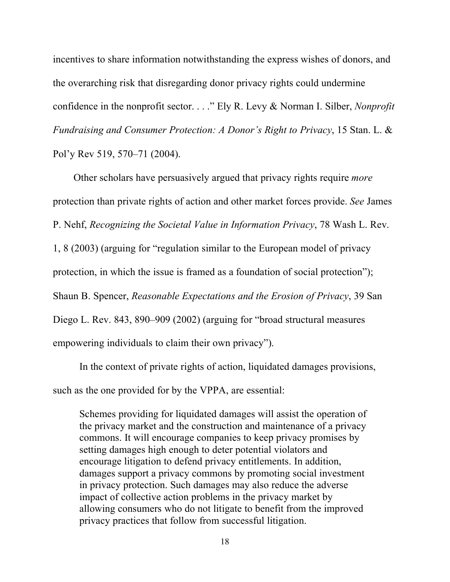incentives to share information notwithstanding the express wishes of donors, and the overarching risk that disregarding donor privacy rights could undermine confidence in the nonprofit sector. . . ." Ely R. Levy & Norman I. Silber, *Nonprofit Fundraising and Consumer Protection: A Donor's Right to Privacy*, 15 Stan. L. & Pol'y Rev 519, 570–71 (2004).

Other scholars have persuasively argued that privacy rights require *more* protection than private rights of action and other market forces provide. *See* James

P. Nehf, *Recognizing the Societal Value in Information Privacy*, 78 Wash L. Rev.

1, 8 (2003) (arguing for "regulation similar to the European model of privacy

protection, in which the issue is framed as a foundation of social protection");

Shaun B. Spencer, *Reasonable Expectations and the Erosion of Privacy*, 39 San

Diego L. Rev. 843, 890–909 (2002) (arguing for "broad structural measures

empowering individuals to claim their own privacy").

In the context of private rights of action, liquidated damages provisions,

such as the one provided for by the VPPA, are essential:

Schemes providing for liquidated damages will assist the operation of the privacy market and the construction and maintenance of a privacy commons. It will encourage companies to keep privacy promises by setting damages high enough to deter potential violators and encourage litigation to defend privacy entitlements. In addition, damages support a privacy commons by promoting social investment in privacy protection. Such damages may also reduce the adverse impact of collective action problems in the privacy market by allowing consumers who do not litigate to benefit from the improved privacy practices that follow from successful litigation.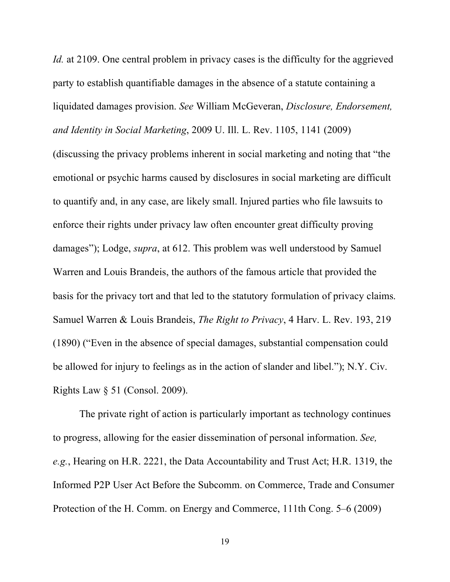*Id.* at 2109. One central problem in privacy cases is the difficulty for the aggrieved party to establish quantifiable damages in the absence of a statute containing a liquidated damages provision. *See* William McGeveran, *Disclosure, Endorsement, and Identity in Social Marketing*, 2009 U. Ill. L. Rev. 1105, 1141 (2009) (discussing the privacy problems inherent in social marketing and noting that "the emotional or psychic harms caused by disclosures in social marketing are difficult to quantify and, in any case, are likely small. Injured parties who file lawsuits to enforce their rights under privacy law often encounter great difficulty proving damages"); Lodge, *supra*, at 612. This problem was well understood by Samuel Warren and Louis Brandeis, the authors of the famous article that provided the basis for the privacy tort and that led to the statutory formulation of privacy claims. Samuel Warren & Louis Brandeis, *The Right to Privacy*, 4 Harv. L. Rev. 193, 219 (1890) ("Even in the absence of special damages, substantial compensation could be allowed for injury to feelings as in the action of slander and libel."); N.Y. Civ. Rights Law § 51 (Consol. 2009).

The private right of action is particularly important as technology continues to progress, allowing for the easier dissemination of personal information. *See, e.g.*, Hearing on H.R. 2221, the Data Accountability and Trust Act; H.R. 1319, the Informed P2P User Act Before the Subcomm. on Commerce, Trade and Consumer Protection of the H. Comm. on Energy and Commerce, 111th Cong. 5–6 (2009)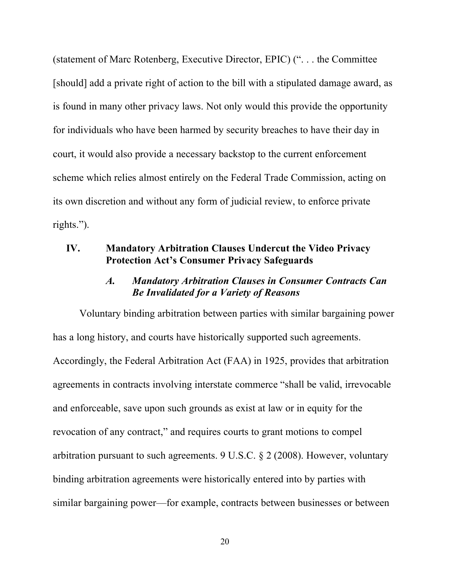(statement of Marc Rotenberg, Executive Director, EPIC) (". . . the Committee [should] add a private right of action to the bill with a stipulated damage award, as is found in many other privacy laws. Not only would this provide the opportunity for individuals who have been harmed by security breaches to have their day in court, it would also provide a necessary backstop to the current enforcement scheme which relies almost entirely on the Federal Trade Commission, acting on its own discretion and without any form of judicial review, to enforce private rights.").

## **IV. Mandatory Arbitration Clauses Undercut the Video Privacy Protection Act's Consumer Privacy Safeguards**

## *A. Mandatory Arbitration Clauses in Consumer Contracts Can Be Invalidated for a Variety of Reasons*

Voluntary binding arbitration between parties with similar bargaining power has a long history, and courts have historically supported such agreements. Accordingly, the Federal Arbitration Act (FAA) in 1925, provides that arbitration agreements in contracts involving interstate commerce "shall be valid, irrevocable and enforceable, save upon such grounds as exist at law or in equity for the revocation of any contract," and requires courts to grant motions to compel arbitration pursuant to such agreements. 9 U.S.C. § 2 (2008). However, voluntary binding arbitration agreements were historically entered into by parties with similar bargaining power—for example, contracts between businesses or between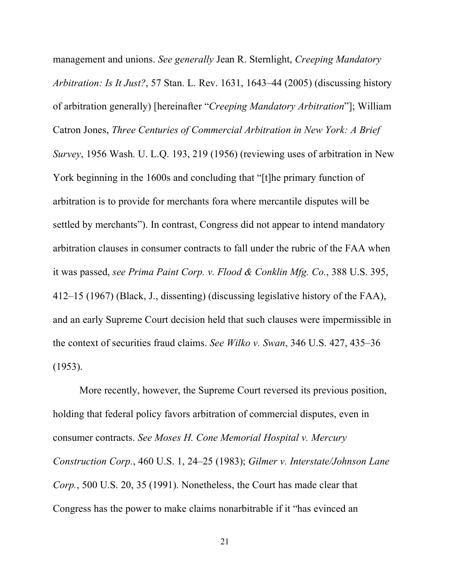management and unions. *See generally* Jean R. Sternlight, *Creeping Mandatory Arbitration: Is It Just?*, 57 Stan. L. Rev. 1631, 1643–44 (2005) (discussing history of arbitration generally) [hereinafter "*Creeping Mandatory Arbitration*"]; William Catron Jones, *Three Centuries of Commercial Arbitration in New York: A Brief Survey*, 1956 Wash. U. L.Q. 193, 219 (1956) (reviewing uses of arbitration in New York beginning in the 1600s and concluding that "[t]he primary function of arbitration is to provide for merchants fora where mercantile disputes will be settled by merchants"). In contrast, Congress did not appear to intend mandatory arbitration clauses in consumer contracts to fall under the rubric of the FAA when it was passed, *see Prima Paint Corp. v. Flood & Conklin Mfg. Co.*, 388 U.S. 395, 412–15 (1967) (Black, J., dissenting) (discussing legislative history of the FAA), and an early Supreme Court decision held that such clauses were impermissible in the context of securities fraud claims. *See Wilko v. Swan*, 346 U.S. 427, 435–36 (1953).

More recently, however, the Supreme Court reversed its previous position, holding that federal policy favors arbitration of commercial disputes, even in consumer contracts. *See Moses H. Cone Memorial Hospital v. Mercury Construction Corp.*, 460 U.S. 1, 24–25 (1983); *Gilmer v. Interstate/Johnson Lane Corp.*, 500 U.S. 20, 35 (1991). Nonetheless, the Court has made clear that Congress has the power to make claims nonarbitrable if it "has evinced an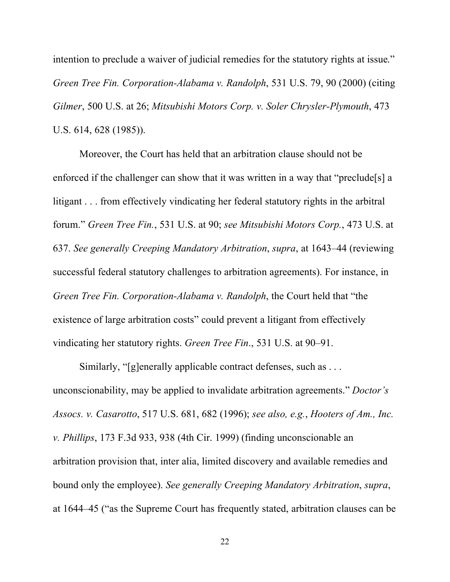intention to preclude a waiver of judicial remedies for the statutory rights at issue." *Green Tree Fin. Corporation-Alabama v. Randolph*, 531 U.S. 79, 90 (2000) (citing *Gilmer*, 500 U.S. at 26; *Mitsubishi Motors Corp. v. Soler Chrysler-Plymouth*, 473 U.S. 614, 628 (1985)).

Moreover, the Court has held that an arbitration clause should not be enforced if the challenger can show that it was written in a way that "preclude[s] a litigant . . . from effectively vindicating her federal statutory rights in the arbitral forum." *Green Tree Fin.*, 531 U.S. at 90; *see Mitsubishi Motors Corp.*, 473 U.S. at 637. *See generally Creeping Mandatory Arbitration*, *supra*, at 1643–44 (reviewing successful federal statutory challenges to arbitration agreements). For instance, in *Green Tree Fin. Corporation-Alabama v. Randolph*, the Court held that "the existence of large arbitration costs" could prevent a litigant from effectively vindicating her statutory rights. *Green Tree Fin*., 531 U.S. at 90–91.

Similarly, "[g]enerally applicable contract defenses, such as ... unconscionability, may be applied to invalidate arbitration agreements." *Doctor's Assocs. v. Casarotto*, 517 U.S. 681, 682 (1996); *see also, e.g.*, *Hooters of Am., Inc. v. Phillips*, 173 F.3d 933, 938 (4th Cir. 1999) (finding unconscionable an arbitration provision that, inter alia, limited discovery and available remedies and bound only the employee). *See generally Creeping Mandatory Arbitration*, *supra*, at 1644–45 ("as the Supreme Court has frequently stated, arbitration clauses can be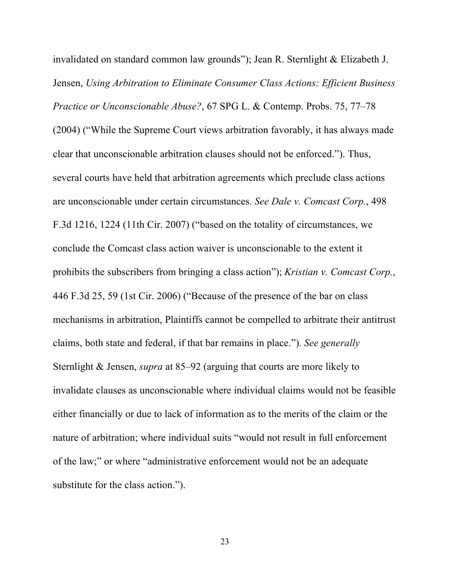invalidated on standard common law grounds"); Jean R. Sternlight & Elizabeth J. Jensen, *Using Arbitration to Eliminate Consumer Class Actions: Efficient Business Practice or Unconscionable Abuse?*, 67 SPG L. & Contemp. Probs. 75, 77–78 (2004) ("While the Supreme Court views arbitration favorably, it has always made clear that unconscionable arbitration clauses should not be enforced."). Thus, several courts have held that arbitration agreements which preclude class actions are unconscionable under certain circumstances. *See Dale v. Comcast Corp.*, 498 F.3d 1216, 1224 (11th Cir. 2007) ("based on the totality of circumstances, we conclude the Comcast class action waiver is unconscionable to the extent it prohibits the subscribers from bringing a class action"); *Kristian v. Comcast Corp.*, 446 F.3d 25, 59 (1st Cir. 2006) ("Because of the presence of the bar on class mechanisms in arbitration, Plaintiffs cannot be compelled to arbitrate their antitrust claims, both state and federal, if that bar remains in place."). *See generally*  Sternlight & Jensen, *supra* at 85–92 (arguing that courts are more likely to invalidate clauses as unconscionable where individual claims would not be feasible either financially or due to lack of information as to the merits of the claim or the nature of arbitration; where individual suits "would not result in full enforcement of the law;" or where "administrative enforcement would not be an adequate substitute for the class action.").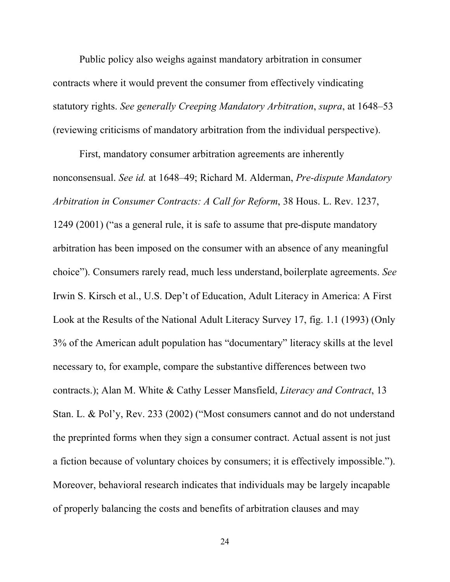Public policy also weighs against mandatory arbitration in consumer contracts where it would prevent the consumer from effectively vindicating statutory rights. *See generally Creeping Mandatory Arbitration*, *supra*, at 1648–53 (reviewing criticisms of mandatory arbitration from the individual perspective).

First, mandatory consumer arbitration agreements are inherently nonconsensual. *See id.* at 1648–49; Richard M. Alderman, *Pre-dispute Mandatory Arbitration in Consumer Contracts: A Call for Reform*, 38 Hous. L. Rev. 1237, 1249 (2001) ("as a general rule, it is safe to assume that pre-dispute mandatory arbitration has been imposed on the consumer with an absence of any meaningful choice"). Consumers rarely read, much less understand, boilerplate agreements. *See* Irwin S. Kirsch et al., U.S. Dep't of Education, Adult Literacy in America: A First Look at the Results of the National Adult Literacy Survey 17, fig. 1.1 (1993) (Only 3% of the American adult population has "documentary" literacy skills at the level necessary to, for example, compare the substantive differences between two contracts.); Alan M. White & Cathy Lesser Mansfield, *Literacy and Contract*, 13 Stan. L. & Pol'y, Rev. 233 (2002) ("Most consumers cannot and do not understand the preprinted forms when they sign a consumer contract. Actual assent is not just a fiction because of voluntary choices by consumers; it is effectively impossible."). Moreover, behavioral research indicates that individuals may be largely incapable of properly balancing the costs and benefits of arbitration clauses and may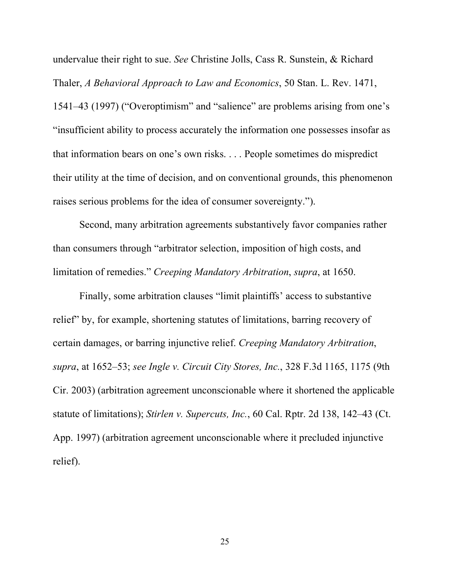undervalue their right to sue. *See* Christine Jolls, Cass R. Sunstein, & Richard Thaler, *A Behavioral Approach to Law and Economics*, 50 Stan. L. Rev. 1471, 1541–43 (1997) ("Overoptimism" and "salience" are problems arising from one's "insufficient ability to process accurately the information one possesses insofar as that information bears on one's own risks. . . . People sometimes do mispredict their utility at the time of decision, and on conventional grounds, this phenomenon raises serious problems for the idea of consumer sovereignty.").

Second, many arbitration agreements substantively favor companies rather than consumers through "arbitrator selection, imposition of high costs, and limitation of remedies." *Creeping Mandatory Arbitration*, *supra*, at 1650.

Finally, some arbitration clauses "limit plaintiffs' access to substantive relief" by, for example, shortening statutes of limitations, barring recovery of certain damages, or barring injunctive relief. *Creeping Mandatory Arbitration*, *supra*, at 1652–53; *see Ingle v. Circuit City Stores, Inc.*, 328 F.3d 1165, 1175 (9th Cir. 2003) (arbitration agreement unconscionable where it shortened the applicable statute of limitations); *Stirlen v. Supercuts, Inc.*, 60 Cal. Rptr. 2d 138, 142–43 (Ct. App. 1997) (arbitration agreement unconscionable where it precluded injunctive relief).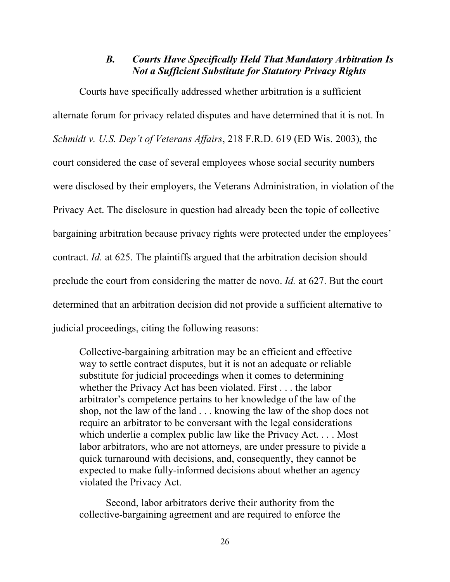## *B. Courts Have Specifically Held That Mandatory Arbitration Is Not a Sufficient Substitute for Statutory Privacy Rights*

Courts have specifically addressed whether arbitration is a sufficient alternate forum for privacy related disputes and have determined that it is not. In *Schmidt v. U.S. Dep't of Veterans Affairs*, 218 F.R.D. 619 (ED Wis. 2003), the court considered the case of several employees whose social security numbers were disclosed by their employers, the Veterans Administration, in violation of the Privacy Act. The disclosure in question had already been the topic of collective bargaining arbitration because privacy rights were protected under the employees' contract. *Id.* at 625. The plaintiffs argued that the arbitration decision should preclude the court from considering the matter de novo. *Id.* at 627. But the court determined that an arbitration decision did not provide a sufficient alternative to judicial proceedings, citing the following reasons:

Collective-bargaining arbitration may be an efficient and effective way to settle contract disputes, but it is not an adequate or reliable substitute for judicial proceedings when it comes to determining whether the Privacy Act has been violated. First . . . the labor arbitrator's competence pertains to her knowledge of the law of the shop, not the law of the land . . . knowing the law of the shop does not require an arbitrator to be conversant with the legal considerations which underlie a complex public law like the Privacy Act. . . . Most labor arbitrators, who are not attorneys, are under pressure to pivide a quick turnaround with decisions, and, consequently, they cannot be expected to make fully-informed decisions about whether an agency violated the Privacy Act.

Second, labor arbitrators derive their authority from the collective-bargaining agreement and are required to enforce the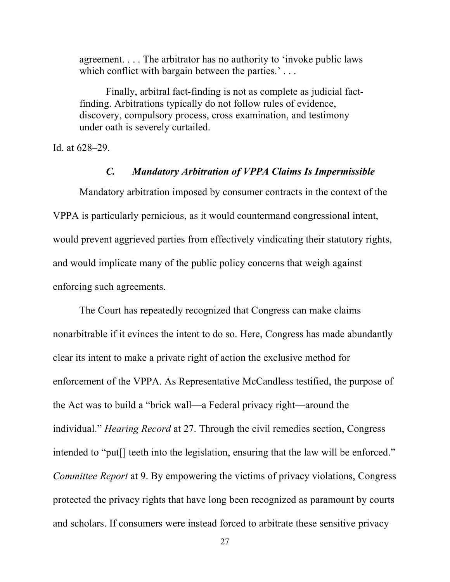agreement. . . . The arbitrator has no authority to 'invoke public laws which conflict with bargain between the parties.'...

Finally, arbitral fact-finding is not as complete as judicial factfinding. Arbitrations typically do not follow rules of evidence, discovery, compulsory process, cross examination, and testimony under oath is severely curtailed.

Id. at 628–29.

#### *C. Mandatory Arbitration of VPPA Claims Is Impermissible*

Mandatory arbitration imposed by consumer contracts in the context of the VPPA is particularly pernicious, as it would countermand congressional intent, would prevent aggrieved parties from effectively vindicating their statutory rights, and would implicate many of the public policy concerns that weigh against enforcing such agreements.

The Court has repeatedly recognized that Congress can make claims nonarbitrable if it evinces the intent to do so. Here, Congress has made abundantly clear its intent to make a private right of action the exclusive method for enforcement of the VPPA. As Representative McCandless testified, the purpose of the Act was to build a "brick wall—a Federal privacy right—around the individual." *Hearing Record* at 27. Through the civil remedies section, Congress intended to "put[] teeth into the legislation, ensuring that the law will be enforced." *Committee Report* at 9. By empowering the victims of privacy violations, Congress protected the privacy rights that have long been recognized as paramount by courts and scholars. If consumers were instead forced to arbitrate these sensitive privacy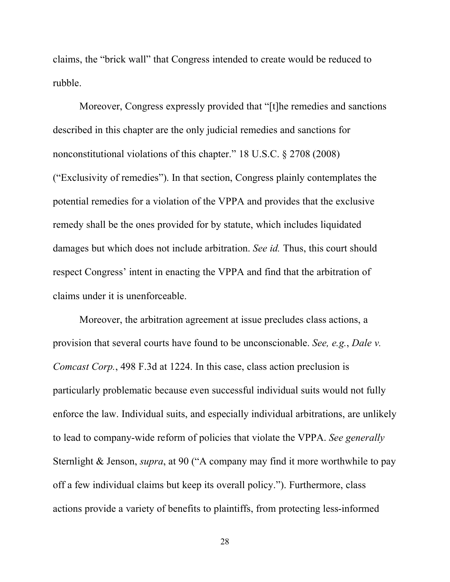claims, the "brick wall" that Congress intended to create would be reduced to rubble.

Moreover, Congress expressly provided that "[t]he remedies and sanctions described in this chapter are the only judicial remedies and sanctions for nonconstitutional violations of this chapter." 18 U.S.C. § 2708 (2008) ("Exclusivity of remedies"). In that section, Congress plainly contemplates the potential remedies for a violation of the VPPA and provides that the exclusive remedy shall be the ones provided for by statute, which includes liquidated damages but which does not include arbitration. *See id.* Thus, this court should respect Congress' intent in enacting the VPPA and find that the arbitration of claims under it is unenforceable.

Moreover, the arbitration agreement at issue precludes class actions, a provision that several courts have found to be unconscionable. *See, e.g.*, *Dale v. Comcast Corp.*, 498 F.3d at 1224. In this case, class action preclusion is particularly problematic because even successful individual suits would not fully enforce the law. Individual suits, and especially individual arbitrations, are unlikely to lead to company-wide reform of policies that violate the VPPA. *See generally* Sternlight & Jenson, *supra*, at 90 ("A company may find it more worthwhile to pay off a few individual claims but keep its overall policy."). Furthermore, class actions provide a variety of benefits to plaintiffs, from protecting less-informed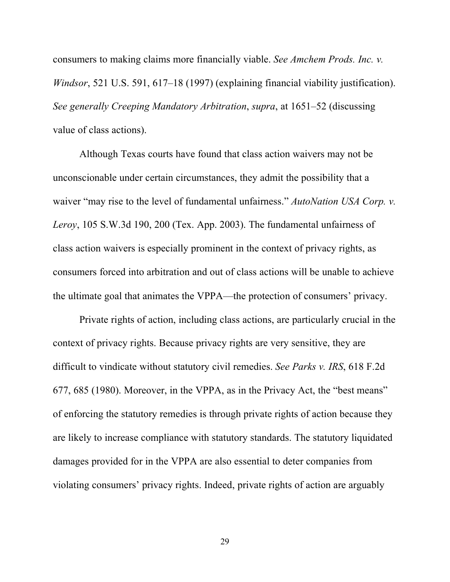consumers to making claims more financially viable. *See Amchem Prods. Inc. v. Windsor*, 521 U.S. 591, 617–18 (1997) (explaining financial viability justification). *See generally Creeping Mandatory Arbitration*, *supra*, at 1651–52 (discussing value of class actions).

Although Texas courts have found that class action waivers may not be unconscionable under certain circumstances, they admit the possibility that a waiver "may rise to the level of fundamental unfairness." *AutoNation USA Corp. v. Leroy*, 105 S.W.3d 190, 200 (Tex. App. 2003). The fundamental unfairness of class action waivers is especially prominent in the context of privacy rights, as consumers forced into arbitration and out of class actions will be unable to achieve the ultimate goal that animates the VPPA—the protection of consumers' privacy.

Private rights of action, including class actions, are particularly crucial in the context of privacy rights. Because privacy rights are very sensitive, they are difficult to vindicate without statutory civil remedies. *See Parks v. IRS*, 618 F.2d 677, 685 (1980). Moreover, in the VPPA, as in the Privacy Act, the "best means" of enforcing the statutory remedies is through private rights of action because they are likely to increase compliance with statutory standards. The statutory liquidated damages provided for in the VPPA are also essential to deter companies from violating consumers' privacy rights. Indeed, private rights of action are arguably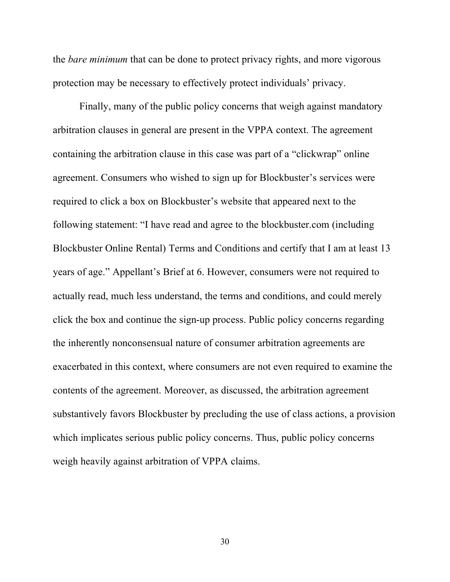the *bare minimum* that can be done to protect privacy rights, and more vigorous protection may be necessary to effectively protect individuals' privacy.

Finally, many of the public policy concerns that weigh against mandatory arbitration clauses in general are present in the VPPA context. The agreement containing the arbitration clause in this case was part of a "clickwrap" online agreement. Consumers who wished to sign up for Blockbuster's services were required to click a box on Blockbuster's website that appeared next to the following statement: "I have read and agree to the blockbuster.com (including Blockbuster Online Rental) Terms and Conditions and certify that I am at least 13 years of age." Appellant's Brief at 6. However, consumers were not required to actually read, much less understand, the terms and conditions, and could merely click the box and continue the sign-up process. Public policy concerns regarding the inherently nonconsensual nature of consumer arbitration agreements are exacerbated in this context, where consumers are not even required to examine the contents of the agreement. Moreover, as discussed, the arbitration agreement substantively favors Blockbuster by precluding the use of class actions, a provision which implicates serious public policy concerns. Thus, public policy concerns weigh heavily against arbitration of VPPA claims.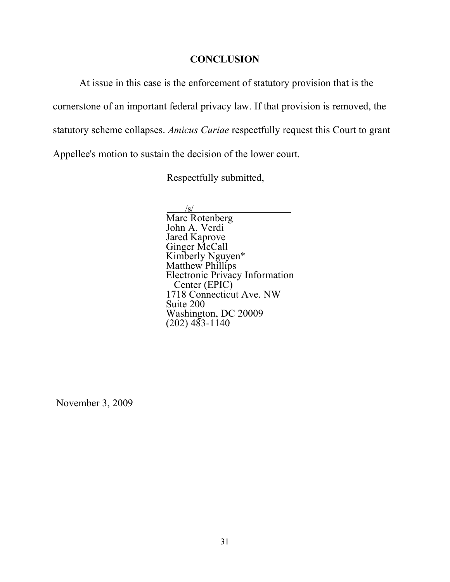### **CONCLUSION**

At issue in this case is the enforcement of statutory provision that is the cornerstone of an important federal privacy law. If that provision is removed, the statutory scheme collapses. *Amicus Curiae* respectfully request this Court to grant Appellee's motion to sustain the decision of the lower court.

Respectfully submitted,

/s/

Marc Rotenberg John A. Verdi Jared Kaprove Ginger McCall Kimberly Nguyen\* Matthew Phillips Electronic Privacy Information Center (EPIC) 1718 Connecticut Ave. NW Suite 200 Washington, DC 20009  $(202)$  483-1140

November 3, 2009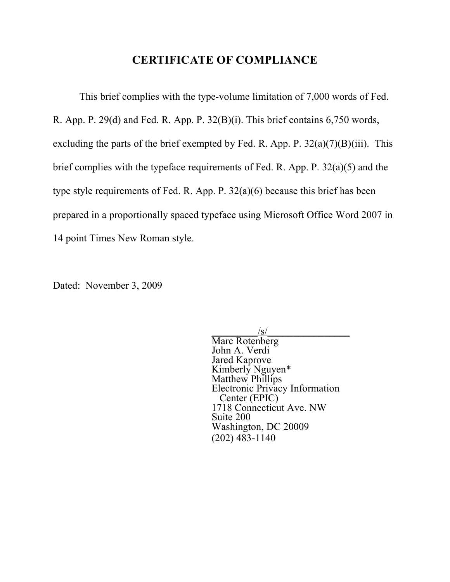## **CERTIFICATE OF COMPLIANCE**

This brief complies with the type-volume limitation of 7,000 words of Fed. R. App. P. 29(d) and Fed. R. App. P. 32(B)(i). This brief contains 6,750 words, excluding the parts of the brief exempted by Fed. R. App. P.  $32(a)(7)(B)(iii)$ . This brief complies with the typeface requirements of Fed. R. App. P. 32(a)(5) and the type style requirements of Fed. R. App. P. 32(a)(6) because this brief has been prepared in a proportionally spaced typeface using Microsoft Office Word 2007 in 14 point Times New Roman style.

Dated: November 3, 2009

 $\sqrt{s}$ /

Marc Rotenberg John A. Verdi Jared Kaprove Kimberly Nguyen\* Matthew Phillips Electronic Privacy Information Center (EPIC) 1718 Connecticut Ave. NW Suite 200 Washington, DC 20009 (202) 483-1140